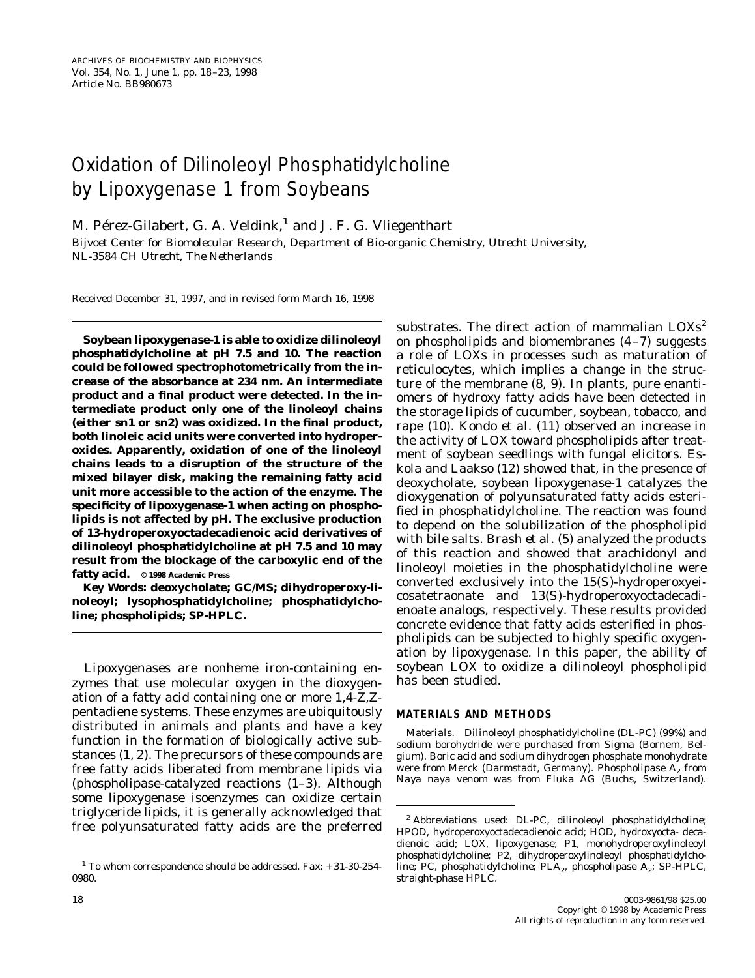# Oxidation of Dilinoleoyl Phosphatidylcholine by Lipoxygenase 1 from Soybeans

M. Pérez-Gilabert, G. A. Veldink,<sup>1</sup> and J. F. G. Vliegenthart

*Bijvoet Center for Biomolecular Research, Department of Bio-organic Chemistry, Utrecht University, NL-3584 CH Utrecht, The Netherlands*

Received December 31, 1997, and in revised form March 16, 1998

**Soybean lipoxygenase-1 is able to oxidize dilinoleoyl phosphatidylcholine at pH 7.5 and 10. The reaction could be followed spectrophotometrically from the increase of the absorbance at 234 nm. An intermediate product and a final product were detected. In the intermediate product only one of the linoleoyl chains (either** *sn1* **or** *sn2***) was oxidized. In the final product, both linoleic acid units were converted into hydroperoxides. Apparently, oxidation of one of the linoleoyl chains leads to a disruption of the structure of the mixed bilayer disk, making the remaining fatty acid unit more accessible to the action of the enzyme. The specificity of lipoxygenase-1 when acting on phospholipids is not affected by pH. The exclusive production of 13-hydroperoxyoctadecadienoic acid derivatives of dilinoleoyl phosphatidylcholine at pH 7.5 and 10 may result from the blockage of the carboxylic end of the fatty acid. © 1998 Academic Press**

*Key Words:* **deoxycholate; GC/MS; dihydroperoxy-linoleoyl; lysophosphatidylcholine; phosphatidylcholine; phospholipids; SP-HPLC.**

Lipoxygenases are nonheme iron-containing enzymes that use molecular oxygen in the dioxygenation of a fatty acid containing one or more 1,4-*Z,Z*pentadiene systems. These enzymes are ubiquitously distributed in animals and plants and have a key function in the formation of biologically active substances (1, 2). The precursors of these compounds are free fatty acids liberated from membrane lipids via (phospholipase-catalyzed reactions (1–3). Although some lipoxygenase isoenzymes can oxidize certain triglyceride lipids, it is generally acknowledged that free polyunsaturated fatty acids are the preferred

substrates. The direct action of mammalian  $LOXs<sup>2</sup>$ on phospholipids and biomembranes (4–7) suggests a role of LOXs in processes such as maturation of reticulocytes, which implies a change in the structure of the membrane (8, 9). In plants, pure enantiomers of hydroxy fatty acids have been detected in the storage lipids of cucumber, soybean, tobacco, and rape (10). Kondo *et al.* (11) observed an increase in the activity of LOX toward phospholipids after treatment of soybean seedlings with fungal elicitors. Eskola and Laakso (12) showed that, in the presence of deoxycholate, soybean lipoxygenase-1 catalyzes the dioxygenation of polyunsaturated fatty acids esterified in phosphatidylcholine. The reaction was found to depend on the solubilization of the phospholipid with bile salts. Brash *et al.* (5) analyzed the products of this reaction and showed that arachidonyl and linoleoyl moieties in the phosphatidylcholine were converted exclusively into the 15(*S*)-hydroperoxyeicosatetraonate and 13(*S*)-hydroperoxyoctadecadienoate analogs, respectively. These results provided concrete evidence that fatty acids esterified in phospholipids can be subjected to highly specific oxygenation by lipoxygenase. In this paper, the ability of soybean LOX to oxidize a dilinoleoyl phospholipid has been studied.

# **MATERIALS AND METHODS**

*Materials.* Dilinoleoyl phosphatidylcholine (DL-PC) (99%) and sodium borohydride were purchased from Sigma (Bornem, Belgium). Boric acid and sodium dihydrogen phosphate monohydrate were from Merck (Darmstadt, Germany). Phospholipase  $A_2$  from *Naya naya* venom was from Fluka AG (Buchs, Switzerland).

 $1$  To whom correspondence should be addressed. Fax:  $+31-30-254-$ 0980.

<sup>2</sup> Abbreviations used: DL-PC, dilinoleoyl phosphatidylcholine; HPOD, hydroperoxyoctadecadienoic acid; HOD, hydroxyocta- decadienoic acid; LOX, lipoxygenase; P1, monohydroperoxylinoleoyl phosphatidylcholine; P2, dihydroperoxylinoleoyl phosphatidylcholine; PC, phosphatidylcholine; PLA<sub>2</sub>, phospholipase A<sub>2</sub>; SP-HPLC, straight-phase HPLC.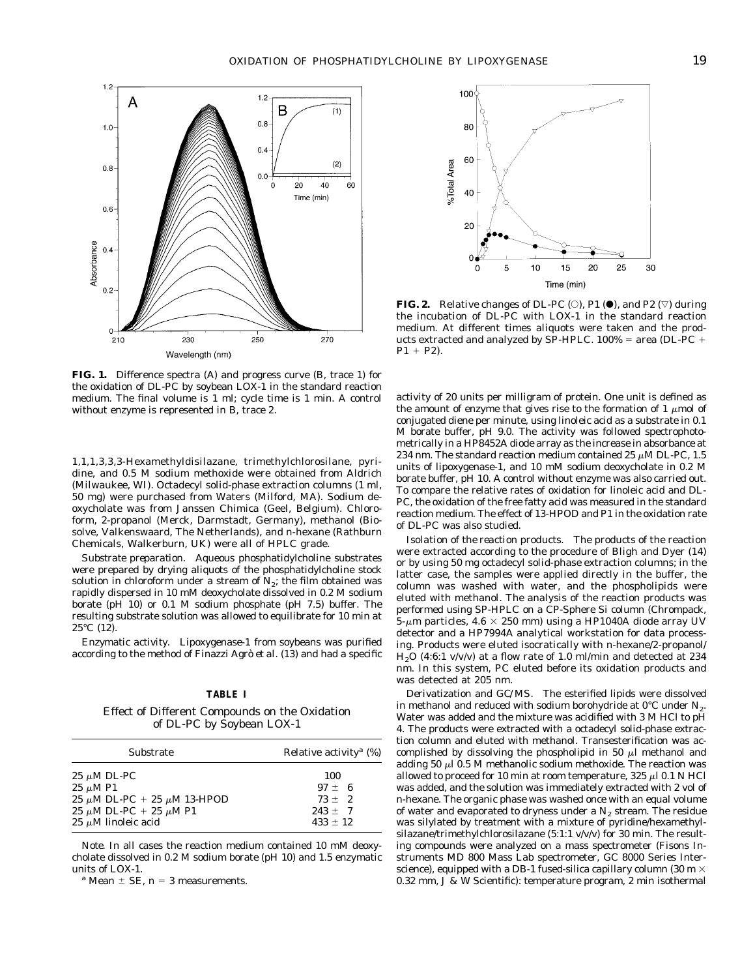

**FIG. 1.** Difference spectra (A) and progress curve (B, trace 1) for the oxidation of DL-PC by soybean LOX-1 in the standard reaction medium. The final volume is 1 ml; cycle time is 1 min. A control without enzyme is represented in B, trace 2.

1,1,1,3,3,3-Hexamethyldisilazane, trimethylchlorosilane, pyridine, and 0.5 M sodium methoxide were obtained from Aldrich (Milwaukee, WI). Octadecyl solid-phase extraction columns (1 ml, 50 mg) were purchased from Waters (Milford, MA). Sodium deoxycholate was from Janssen Chimica (Geel, Belgium). Chloroform, 2-propanol (Merck, Darmstadt, Germany), methanol (Biosolve, Valkenswaard, The Netherlands), and *n*-hexane (Rathburn Chemicals, Walkerburn, UK) were all of HPLC grade.

*Substrate preparation.* Aqueous phosphatidylcholine substrates were prepared by drying aliquots of the phosphatidylcholine stock solution in chloroform under a stream of  $N_2$ ; the film obtained was rapidly dispersed in 10 mM deoxycholate dissolved in 0.2 M sodium borate (pH 10) or 0.1 M sodium phosphate (pH 7.5) buffer. The resulting substrate solution was allowed to equilibrate for 10 min at 25°C (12).

*Enzymatic activity.* Lipoxygenase-1 from soybeans was purified according to the method of Finazzi Agrò *et al.* (13) and had a specific

## **TABLE I**

Effect of Different Compounds on the Oxidation of DL-PC by Soybean LOX-1

| Substrate                             | Relative activity <sup><i>a</i></sup> (%) |
|---------------------------------------|-------------------------------------------|
| 25 $\mu$ M DL-PC                      | 100                                       |
| 25 $\mu$ M P1                         | $97 \pm 6$                                |
| 25 $\mu$ M DL-PC + 25 $\mu$ M 13-HPOD | $73 + 2$                                  |
| 25 $\mu$ M DL-PC + 25 $\mu$ M P1      | $243 + 7$                                 |
| 25 $\mu$ M linoleic acid              | $433 \pm 12$                              |

*Note.* In all cases the reaction medium contained 10 mM deoxycholate dissolved in 0.2 M sodium borate (pH 10) and 1.5 enzymatic units of LOX-1.<br><sup>*a*</sup> Mean  $\pm$  SE, *n* = 3 measurements.



**FIG. 2.** Relative changes of DL-PC  $(\circ)$ , P1  $(\bullet)$ , and P2  $(\triangledown)$  during the incubation of DL-PC with LOX-1 in the standard reaction medium. At different times aliquots were taken and the products extracted and analyzed by SP-HPLC.  $100\%$  = area (DL-PC +  $P1 + P2$ ).

activity of 20 units per milligram of protein. One unit is defined as the amount of enzyme that gives rise to the formation of 1  $\mu$ mol of conjugated diene per minute, using linoleic acid as a substrate in 0.1 M borate buffer, pH 9.0. The activity was followed spectrophotometrically in a HP8452A diode array as the increase in absorbance at 234 nm. The standard reaction medium contained 25  $\mu$ M DL-PC, 1.5 units of lipoxygenase-1, and 10 mM sodium deoxycholate in 0.2 M borate buffer, pH 10. A control without enzyme was also carried out. To compare the relative rates of oxidation for linoleic acid and DL-PC, the oxidation of the free fatty acid was measured in the standard reaction medium. The effect of 13-HPOD and P1 in the oxidation rate of DL-PC was also studied.

*Isolation of the reaction products.* The products of the reaction were extracted according to the procedure of Bligh and Dyer (14) or by using 50 mg octadecyl solid-phase extraction columns; in the latter case, the samples were applied directly in the buffer, the column was washed with water, and the phospholipids were eluted with methanol. The analysis of the reaction products was performed using SP-HPLC on a CP-Sphere Si column (Chrompack, 5- $\mu$ m particles, 4.6  $\times$  250 mm) using a HP1040A diode array UV detector and a HP7994A analytical workstation for data processing. Products were eluted isocratically with *n*-hexane/2-propanol/  $H<sub>2</sub>O$  (4:6:1 v/v/v) at a flow rate of 1.0 ml/min and detected at 234 nm. In this system, PC eluted before its oxidation products and was detected at 205 nm.

*Derivatization and GC/MS.* The esterified lipids were dissolved in methanol and reduced with sodium borohydride at  $0^{\circ}$ C under N<sub>2</sub>. Water was added and the mixture was acidified with 3 M HCl to pH 4. The products were extracted with a octadecyl solid-phase extraction column and eluted with methanol. Transesterification was accomplished by dissolving the phospholipid in 50  $\mu$ l methanol and adding 50  $\mu$ l 0.5 M methanolic sodium methoxide. The reaction was allowed to proceed for 10 min at room temperature, 325  $\mu$ l 0.1 N HCl was added, and the solution was immediately extracted with 2 vol of *n*-hexane. The organic phase was washed once with an equal volume of water and evaporated to dryness under a  $N_2$  stream. The residue was silylated by treatment with a mixture of pyridine/hexamethylsilazane/trimethylchlorosilazane (5:1:1 v/v/v) for 30 min. The resulting compounds were analyzed on a mass spectrometer (Fisons Instruments MD 800 Mass Lab spectrometer, GC 8000 Series Interscience), equipped with a DB-1 fused-silica capillary column (30 m  $\times$ 0.32 mm,  $J \& W$  Scientific): temperature program, 2 min isothermal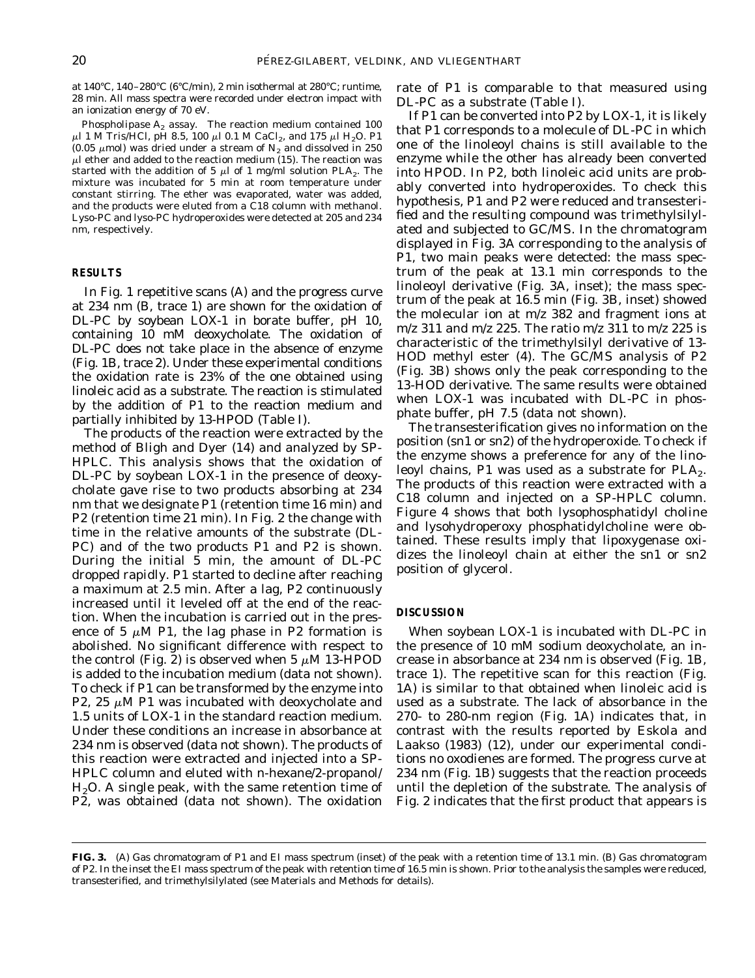at 140°C, 140–280°C (6°C/min), 2 min isothermal at 280°C; runtime, 28 min. All mass spectra were recorded under electron impact with an ionization energy of 70 eV.

*Phospholipase A<sub>2</sub> assay*. The reaction medium contained 100  $\mu$ l 1 M Tris/HCl, pH 8.5, 100  $\mu$ l 0.1 M CaCl<sub>2</sub>, and 175  $\mu$ l H<sub>2</sub>O. P1 (0.05  $\mu$ mol) was dried under a stream of N<sub>2</sub> and dissolved in 250  $\mu$ l ether and added to the reaction medium (15). The reaction was started with the addition of 5  $\mu$ l of 1 mg/ml solution PLA<sub>2</sub>. The mixture was incubated for 5 min at room temperature under constant stirring. The ether was evaporated, water was added, and the products were eluted from a C18 column with methanol. Lyso-PC and lyso-PC hydroperoxides were detected at 205 and 234 nm, respectively.

## **RESULTS**

In Fig. 1 repetitive scans (A) and the progress curve at 234 nm (B, trace 1) are shown for the oxidation of DL-PC by soybean LOX-1 in borate buffer, pH 10, containing 10 mM deoxycholate. The oxidation of DL-PC does not take place in the absence of enzyme (Fig. 1B, trace 2). Under these experimental conditions the oxidation rate is 23% of the one obtained using linoleic acid as a substrate. The reaction is stimulated by the addition of P1 to the reaction medium and partially inhibited by 13-HPOD (Table I).

The products of the reaction were extracted by the method of Bligh and Dyer (14) and analyzed by SP-HPLC. This analysis shows that the oxidation of DL-PC by soybean LOX-1 in the presence of deoxycholate gave rise to two products absorbing at 234 nm that we designate P1 (retention time 16 min) and P2 (retention time 21 min). In Fig. 2 the change with time in the relative amounts of the substrate (DL-PC) and of the two products P1 and P2 is shown. During the initial 5 min, the amount of DL-PC dropped rapidly. P1 started to decline after reaching a maximum at 2.5 min. After a lag, P2 continuously increased until it leveled off at the end of the reaction. When the incubation is carried out in the presence of 5  $\mu$ M P1, the lag phase in P2 formation is abolished. No significant difference with respect to the control (Fig. 2) is observed when  $5 \mu M$  13-HPOD is added to the incubation medium (data not shown). To check if P1 can be transformed by the enzyme into P2, 25  $\mu$ M P1 was incubated with deoxycholate and 1.5 units of LOX-1 in the standard reaction medium. Under these conditions an increase in absorbance at 234 nm is observed (data not shown). The products of this reaction were extracted and injected into a SP-HPLC column and eluted with *n*-hexane/2-propanol/  $H<sub>2</sub>O$ . A single peak, with the same retention time of P2, was obtained (data not shown). The oxidation

rate of P1 is comparable to that measured using DL-PC as a substrate (Table I).

If P1 can be converted into P2 by LOX-1, it is likely that P1 corresponds to a molecule of DL-PC in which one of the linoleoyl chains is still available to the enzyme while the other has already been converted into HPOD. In P2, both linoleic acid units are probably converted into hydroperoxides. To check this hypothesis, P1 and P2 were reduced and transesterified and the resulting compound was trimethylsilylated and subjected to GC/MS. In the chromatogram displayed in Fig. 3A corresponding to the analysis of P1, two main peaks were detected: the mass spectrum of the peak at 13.1 min corresponds to the linoleoyl derivative (Fig. 3A, inset); the mass spectrum of the peak at 16.5 min (Fig. 3B, inset) showed the molecular ion at *m*/*z* 382 and fragment ions at *m*/*z* 311 and *m*/*z* 225. The ratio *m*/*z* 311 to *m*/*z* 225 is characteristic of the trimethylsilyl derivative of 13- HOD methyl ester (4). The GC/MS analysis of P2 (Fig. 3B) shows only the peak corresponding to the 13-HOD derivative. The same results were obtained when LOX-1 was incubated with DL-PC in phosphate buffer, pH 7.5 (data not shown).

The transesterification gives no information on the position (*sn1* or *sn2*) of the hydroperoxide. To check if the enzyme shows a preference for any of the linoleoyl chains, P1 was used as a substrate for  $PLA<sub>2</sub>$ . The products of this reaction were extracted with a C18 column and injected on a SP-HPLC column. Figure 4 shows that both lysophosphatidyl choline and lysohydroperoxy phosphatidylcholine were obtained. These results imply that lipoxygenase oxidizes the linoleoyl chain at either the *sn1* or *sn2* position of glycerol.

### **DISCUSSION**

When soybean LOX-1 is incubated with DL-PC in the presence of 10 mM sodium deoxycholate, an increase in absorbance at 234 nm is observed (Fig. 1B, trace 1). The repetitive scan for this reaction (Fig. 1A) is similar to that obtained when linoleic acid is used as a substrate. The lack of absorbance in the 270- to 280-nm region (Fig. 1A) indicates that, in contrast with the results reported by Eskola and Laakso (1983) (12), under our experimental conditions no oxodienes are formed. The progress curve at 234 nm (Fig. 1B) suggests that the reaction proceeds until the depletion of the substrate. The analysis of Fig. 2 indicates that the first product that appears is

**FIG. 3.** (A) Gas chromatogram of P1 and EI mass spectrum (inset) of the peak with a retention time of 13.1 min. (B) Gas chromatogram of P2. In the inset the EI mass spectrum of the peak with retention time of 16.5 min is shown. Prior to the analysis the samples were reduced, transesterified, and trimethylsilylated (see Materials and Methods for details).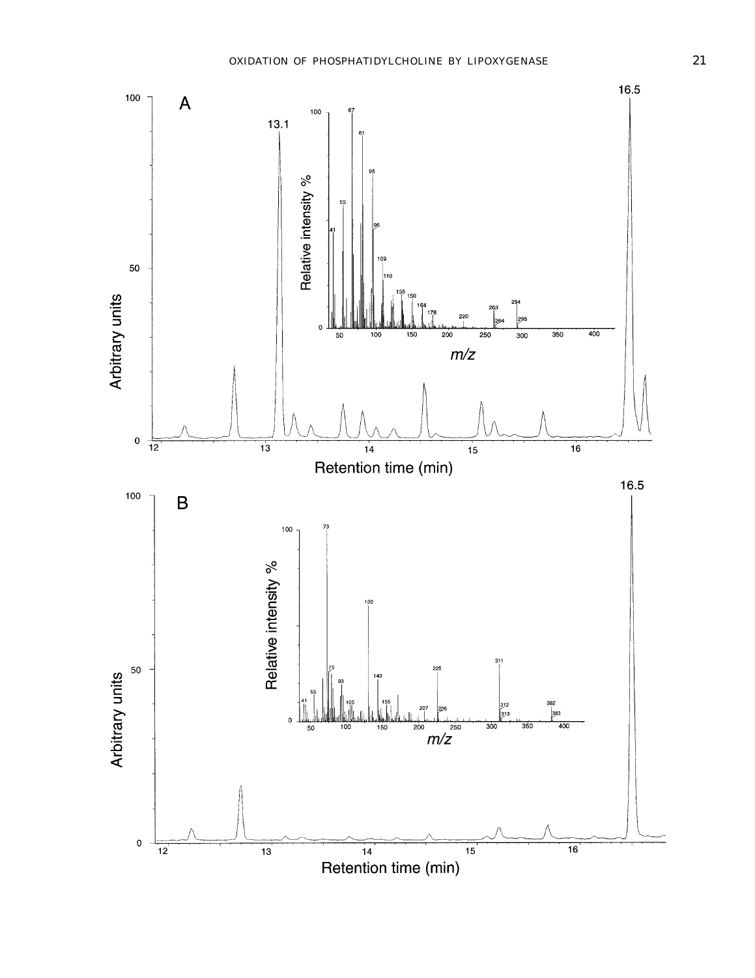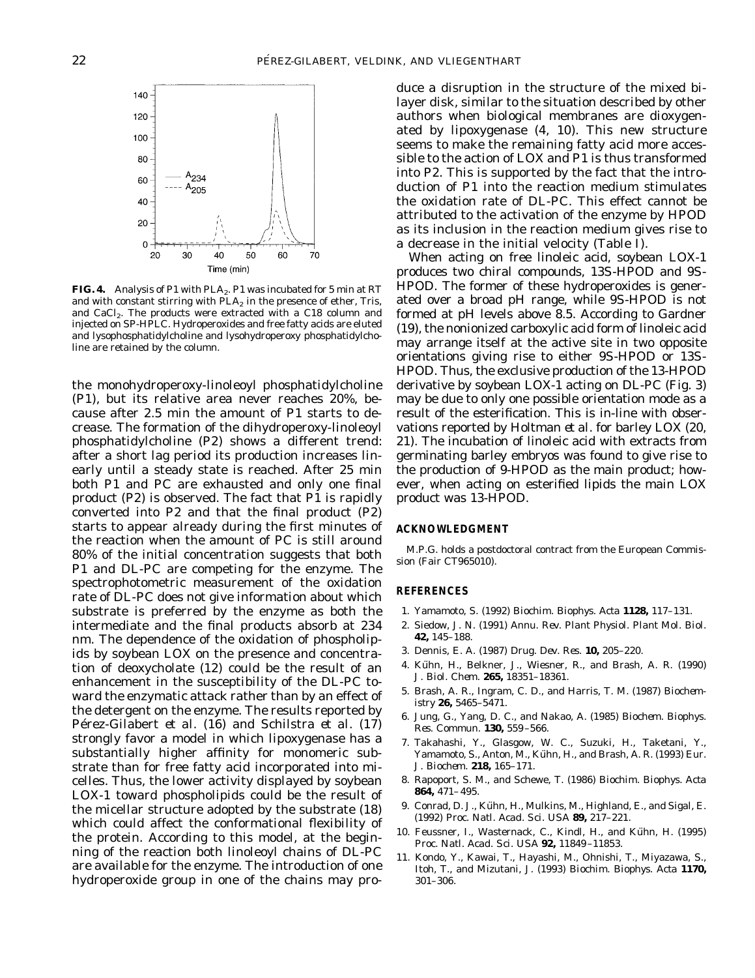

**FIG. 4.** Analysis of P1 with PLA<sub>2</sub>. P1 was incubated for 5 min at RT and with constant stirring with  $PLA<sub>2</sub>$  in the presence of ether, Tris, and CaCl<sub>2</sub>. The products were extracted with a C18 column and injected on SP-HPLC. Hydroperoxides and free fatty acids are eluted and lysophosphatidylcholine and lysohydroperoxy phosphatidylcholine are retained by the column.

the monohydroperoxy-linoleoyl phosphatidylcholine (P1), but its relative area never reaches 20%, because after 2.5 min the amount of P1 starts to decrease. The formation of the dihydroperoxy-linoleoyl phosphatidylcholine (P2) shows a different trend: after a short lag period its production increases linearly until a steady state is reached. After 25 min both P1 and PC are exhausted and only one final product (P2) is observed. The fact that P1 is rapidly converted into P2 and that the final product (P2) starts to appear already during the first minutes of the reaction when the amount of PC is still around 80% of the initial concentration suggests that both P1 and DL-PC are competing for the enzyme. The spectrophotometric measurement of the oxidation rate of DL-PC does not give information about which substrate is preferred by the enzyme as both the intermediate and the final products absorb at 234 nm. The dependence of the oxidation of phospholipids by soybean LOX on the presence and concentration of deoxycholate (12) could be the result of an enhancement in the susceptibility of the DL-PC toward the enzymatic attack rather than by an effect of the detergent on the enzyme. The results reported by Pérez-Gilabert *et al.* (16) and Schilstra *et al.* (17) strongly favor a model in which lipoxygenase has a substantially higher affinity for monomeric substrate than for free fatty acid incorporated into micelles. Thus, the lower activity displayed by soybean LOX-1 toward phospholipids could be the result of the micellar structure adopted by the substrate (18) which could affect the conformational flexibility of the protein. According to this model, at the beginning of the reaction both linoleoyl chains of DL-PC are available for the enzyme. The introduction of one hydroperoxide group in one of the chains may produce a disruption in the structure of the mixed bilayer disk, similar to the situation described by other authors when biological membranes are dioxygenated by lipoxygenase (4, 10). This new structure seems to make the remaining fatty acid more accessible to the action of LOX and P1 is thus transformed into P2. This is supported by the fact that the introduction of P1 into the reaction medium stimulates the oxidation rate of DL-PC. This effect cannot be attributed to the activation of the enzyme by HPOD as its inclusion in the reaction medium gives rise to a decrease in the initial velocity (Table I).

When acting on free linoleic acid, soybean LOX-1 produces two chiral compounds, 13*S*-HPOD and 9*S*-HPOD. The former of these hydroperoxides is generated over a broad pH range, while 9*S*-HPOD is not formed at pH levels above 8.5. According to Gardner (19), the nonionized carboxylic acid form of linoleic acid may arrange itself at the active site in two opposite orientations giving rise to either 9*S*-HPOD or 13*S*-HPOD. Thus, the exclusive production of the 13-HPOD derivative by soybean LOX-1 acting on DL-PC (Fig. 3) may be due to only one possible orientation mode as a result of the esterification. This is in-line with observations reported by Holtman *et al.* for barley LOX (20, 21). The incubation of linoleic acid with extracts from germinating barley embryos was found to give rise to the production of 9-HPOD as the main product; however, when acting on esterified lipids the main LOX product was 13-HPOD.

# **ACKNOWLEDGMENT**

M.P.G. holds a postdoctoral contract from the European Commission (Fair CT965010).

#### **REFERENCES**

- 1. Yamamoto, S. (1992) *Biochim. Biophys. Acta* **1128,** 117–131.
- 2. Siedow, J. N. (1991) *Annu. Rev. Plant Physiol. Plant Mol. Biol.* **42,** 145–188.
- 3. Dennis, E. A. (1987) *Drug. Dev. Res.* **10,** 205–220.
- 4. Kühn, H., Belkner, J., Wiesner, R., and Brash, A. R. (1990) *J. Biol. Chem.* **265,** 18351–18361.
- 5. Brash, A. R., Ingram, C. D., and Harris, T. M. (1987) *Biochemistry* **26,** 5465–5471.
- 6. Jung, G., Yang, D. C., and Nakao, A. (1985) *Biochem. Biophys. Res. Commun.* **130,** 559–566.
- 7. Takahashi, Y., Glasgow, W. C., Suzuki, H., Taketani, Y., Yamamoto, S., Anton, M., Kühn, H., and Brash, A. R. (1993) *Eur. J. Biochem.* **218,** 165–171.
- 8. Rapoport, S. M., and Schewe, T. (1986) *Biochim. Biophys. Acta* **864,** 471–495.
- 9. Conrad, D. J., Kühn, H., Mulkins, M., Highland, E., and Sigal, E. (1992) *Proc. Natl. Acad. Sci. USA* **89,** 217–221.
- 10. Feussner, I., Wasternack, C., Kindl, H., and Kühn, H. (1995) *Proc. Natl. Acad. Sci. USA* **92,** 11849–11853.
- 11. Kondo, Y., Kawai, T., Hayashi, M., Ohnishi, T., Miyazawa, S., Itoh, T., and Mizutani, J. (1993) *Biochim. Biophys. Acta* **1170,** 301–306.